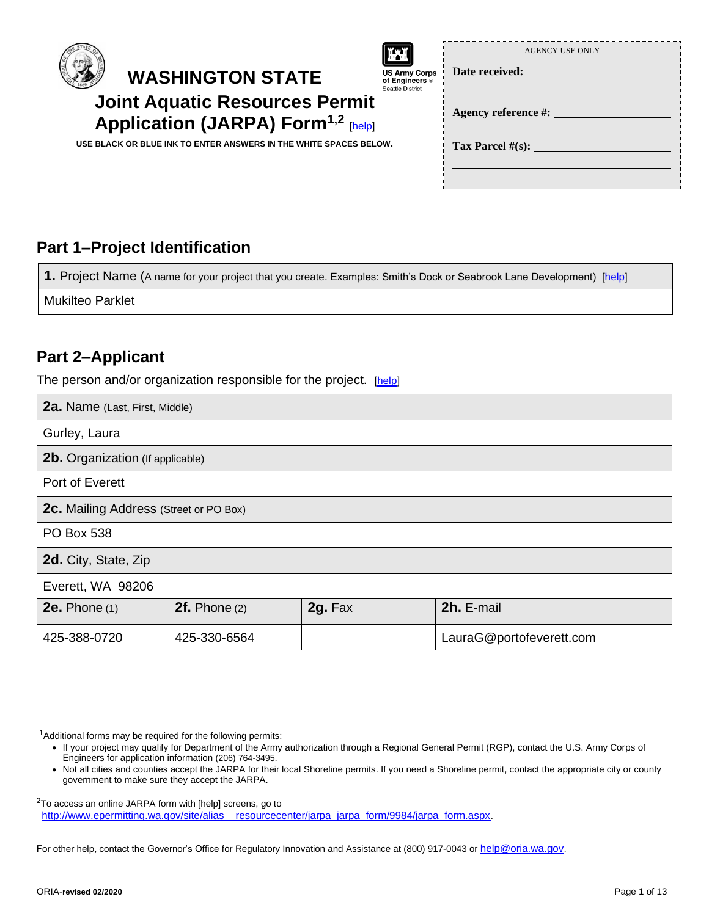



attle District

**Date received:** 

Age

**Tax Parcel #(s):** 

|                   | <b>AGENCY USE ONLY</b> |
|-------------------|------------------------|
| e received:       |                        |
| ency reference #: |                        |

**Application (JARPA) Form1,2** [\[help\]](http://ptjguidance.epermitting.wa.gov/DesktopModules/help.aspx?project=0&node=471) **USE BLACK OR BLUE INK TO ENTER ANSWERS IN THE WHITE SPACES BELOW.**

**Joint Aquatic Resources Permit**

# **Part 1–Project Identification**

1. Project Name (A name for your project that you create. Examples: Smith's Dock or Seabrook Lane Development) [\[help\]](http://ptjguidance.epermitting.wa.gov/DesktopModules/help.aspx?project=0&node=547)

Mukilteo Parklet

#### **Part 2–Applicant**

The person and/or organization responsible for the project. [\[help\]](http://ptjguidance.epermitting.wa.gov/DesktopModules/help.aspx?project=0&node=534)

| <b>2a.</b> Name (Last, First, Middle)  |                   |         |                          |  |  |
|----------------------------------------|-------------------|---------|--------------------------|--|--|
| Gurley, Laura                          |                   |         |                          |  |  |
| 2b. Organization (If applicable)       |                   |         |                          |  |  |
| Port of Everett                        |                   |         |                          |  |  |
| 2c. Mailing Address (Street or PO Box) |                   |         |                          |  |  |
| <b>PO Box 538</b>                      |                   |         |                          |  |  |
| 2d. City, State, Zip                   |                   |         |                          |  |  |
| Everett, WA 98206                      |                   |         |                          |  |  |
| $2e.$ Phone $(1)$                      | $2f.$ Phone $(2)$ | 2g. Fax | 2h. E-mail               |  |  |
| 425-388-0720                           | 425-330-6564      |         | LauraG@portofeverett.com |  |  |

For other help, contact the Governor's Office for Regulatory Innovation and Assistance at (800) 917-0043 or [help@oria.wa.gov](mailto:help@oria.wa.gov).

<sup>&</sup>lt;sup>1</sup>Additional forms may be required for the following permits:

<sup>•</sup> If your project may qualify for Department of the Army authorization through a Regional General Permit (RGP), contact the U.S. Army Corps of Engineers for application information (206) 764-3495.

<sup>•</sup> Not all cities and counties accept the JARPA for their local Shoreline permits. If you need a Shoreline permit, contact the appropriate city or county government to make sure they accept the JARPA.

<sup>2</sup>To access an online JARPA form with [help] screens, go to [http://www.epermitting.wa.gov/site/alias\\_\\_resourcecenter/jarpa\\_jarpa\\_form/9984/jarpa\\_form.aspx](http://www.epermitting.wa.gov/site/alias__resourcecenter/jarpa_jarpa_form/9984/jarpa_form.aspx).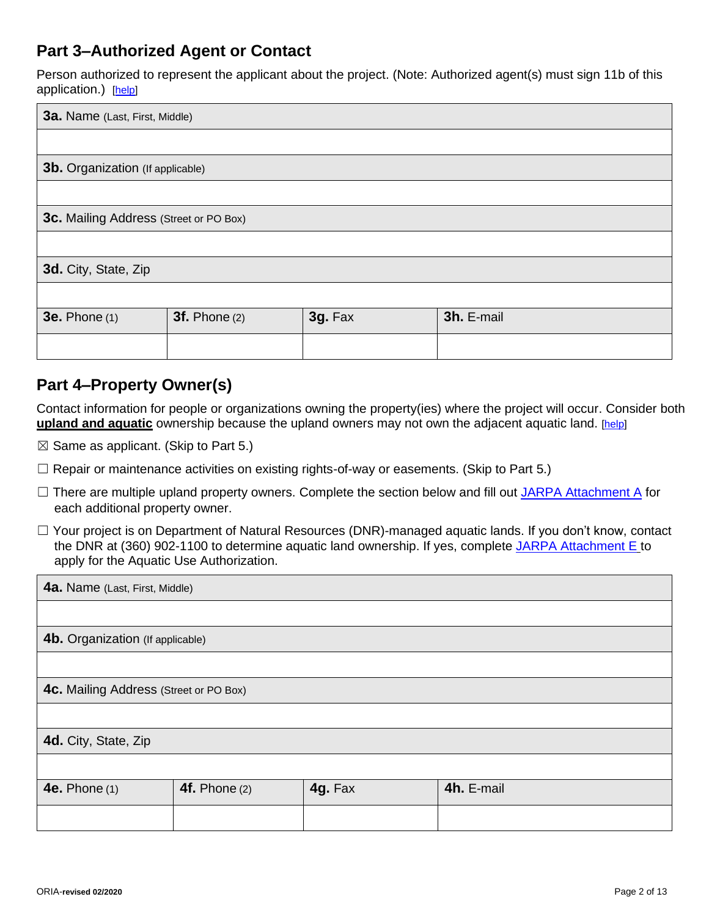### **Part 3–Authorized Agent or Contact**

Person authorized to represent the applicant about the project. (Note: Authorized agent(s) must sign 11b of this application.) [\[help\]](http://ptjguidance.epermitting.wa.gov/DesktopModules/help.aspx?project=0&node=536)

| 3a. Name (Last, First, Middle)          |                 |         |            |  |  |  |
|-----------------------------------------|-----------------|---------|------------|--|--|--|
|                                         |                 |         |            |  |  |  |
| <b>3b.</b> Organization (If applicable) |                 |         |            |  |  |  |
|                                         |                 |         |            |  |  |  |
| 3c. Mailing Address (Street or PO Box)  |                 |         |            |  |  |  |
|                                         |                 |         |            |  |  |  |
| 3d. City, State, Zip                    |                 |         |            |  |  |  |
|                                         |                 |         |            |  |  |  |
| <b>3e.</b> Phone (1)                    | $3f.$ Phone (2) | 3g. Fax | 3h. E-mail |  |  |  |
|                                         |                 |         |            |  |  |  |

### **Part 4–Property Owner(s)**

Contact information for people or organizations owning the property(ies) where the project will occur. Consider both **upland and aquatic** ownership because the upland owners may not own the adjacent aquatic land. [\[help\]](http://ptjguidance.epermitting.wa.gov/DesktopModules/help.aspx?project=0&node=537)

- $\boxtimes$  Same as applicant. (Skip to Part 5.)
- $\Box$  Repair or maintenance activities on existing rights-of-way or easements. (Skip to Part 5.)
- □ There are multiple upland property owners. Complete the section below and fill out [JARPA Attachment A](http://www.epermitting.wa.gov/site/alias__resourcecenter/jarpa_jarpa_form/9984/jarpa_form.aspx) for each additional property owner.
- ☐ Your project is on Department of Natural Resources (DNR)-managed aquatic lands. If you don't know, contact the DNR at (360) 902-1100 to determine aquatic land ownership. If yes, complete [JARPA Attachment E](http://www.epermitting.wa.gov/site/alias__resourcecenter/jarpa_jarpa_form/9984/jarpa_form.aspx) to apply for the Aquatic Use Authorization.

| 4a. Name (Last, First, Middle)         |               |         |            |  |  |  |  |  |
|----------------------------------------|---------------|---------|------------|--|--|--|--|--|
|                                        |               |         |            |  |  |  |  |  |
| 4b. Organization (If applicable)       |               |         |            |  |  |  |  |  |
|                                        |               |         |            |  |  |  |  |  |
| 4c. Mailing Address (Street or PO Box) |               |         |            |  |  |  |  |  |
|                                        |               |         |            |  |  |  |  |  |
| 4d. City, State, Zip                   |               |         |            |  |  |  |  |  |
|                                        |               |         |            |  |  |  |  |  |
| <b>4e.</b> Phone (1)                   | 4f. Phone (2) | 4g. Fax | 4h. E-mail |  |  |  |  |  |
|                                        |               |         |            |  |  |  |  |  |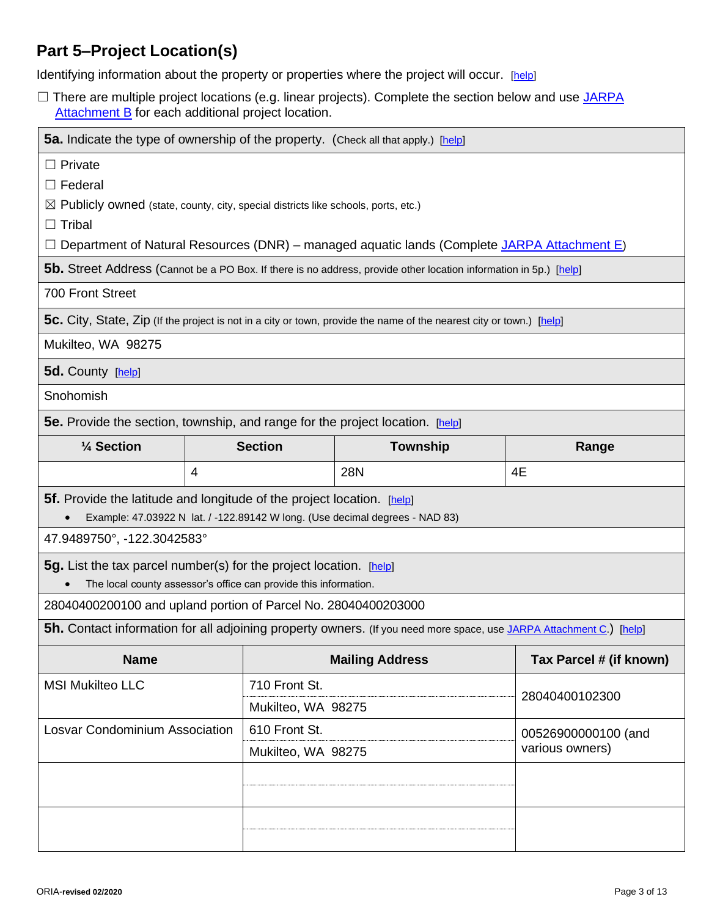# **Part 5–Project Location(s)**

Identifying information about the property or properties where the project will occur. [\[help\]](http://ptjguidance.epermitting.wa.gov/DesktopModules/help.aspx?project=0&node=596)

□ There are multiple project locations (e.g. linear projects). Complete the section below and use JARPA [Attachment B](http://www.epermitting.wa.gov/site/alias__resourcecenter/jarpa_jarpa_form/9984/jarpa_form.aspx) for each additional project location.

| <b>5a.</b> Indicate the type of ownership of the property. (Check all that apply.) [help]     |                                                        |                                      |                                                                                                                            |                         |  |  |
|-----------------------------------------------------------------------------------------------|--------------------------------------------------------|--------------------------------------|----------------------------------------------------------------------------------------------------------------------------|-------------------------|--|--|
| $\Box$ Private                                                                                |                                                        |                                      |                                                                                                                            |                         |  |  |
| $\Box$ Federal                                                                                |                                                        |                                      |                                                                                                                            |                         |  |  |
| $\boxtimes$ Publicly owned (state, county, city, special districts like schools, ports, etc.) |                                                        |                                      |                                                                                                                            |                         |  |  |
| $\Box$ Tribal                                                                                 |                                                        |                                      |                                                                                                                            |                         |  |  |
|                                                                                               |                                                        |                                      | Department of Natural Resources (DNR) - managed aquatic lands (Complete JARPA Attachment E)                                |                         |  |  |
|                                                                                               |                                                        |                                      | <b>5b.</b> Street Address (Cannot be a PO Box. If there is no address, provide other location information in 5p.) [help]   |                         |  |  |
| 700 Front Street                                                                              |                                                        |                                      |                                                                                                                            |                         |  |  |
|                                                                                               |                                                        |                                      | 5c. City, State, Zip (If the project is not in a city or town, provide the name of the nearest city or town.) [help]       |                         |  |  |
| Mukilteo, WA 98275                                                                            |                                                        |                                      |                                                                                                                            |                         |  |  |
| 5d. County [help]                                                                             |                                                        |                                      |                                                                                                                            |                         |  |  |
| Snohomish                                                                                     |                                                        |                                      |                                                                                                                            |                         |  |  |
| <b>5e.</b> Provide the section, township, and range for the project location. [help]          |                                                        |                                      |                                                                                                                            |                         |  |  |
| 1/4 Section                                                                                   |                                                        | <b>Section</b>                       | Township                                                                                                                   | Range                   |  |  |
|                                                                                               | 4                                                      |                                      | <b>28N</b>                                                                                                                 | 4E                      |  |  |
| <b>5f.</b> Provide the latitude and longitude of the project location. [help]                 |                                                        |                                      |                                                                                                                            |                         |  |  |
|                                                                                               |                                                        |                                      | Example: 47.03922 N lat. / -122.89142 W long. (Use decimal degrees - NAD 83)                                               |                         |  |  |
| 47.9489750°, -122.3042583°                                                                    |                                                        |                                      |                                                                                                                            |                         |  |  |
| <b>5g.</b> List the tax parcel number(s) for the project location. [help]                     |                                                        |                                      |                                                                                                                            |                         |  |  |
| The local county assessor's office can provide this information.                              |                                                        |                                      |                                                                                                                            |                         |  |  |
| 28040400200100 and upland portion of Parcel No. 28040400203000                                |                                                        |                                      |                                                                                                                            |                         |  |  |
|                                                                                               |                                                        |                                      | <b>5h.</b> Contact information for all adjoining property owners. (If you need more space, use JARPA Attachment C.) [help] |                         |  |  |
| <b>Name</b>                                                                                   |                                                        |                                      | <b>Mailing Address</b>                                                                                                     | Tax Parcel # (if known) |  |  |
| <b>MSI Mukilteo LLC</b>                                                                       |                                                        | 710 Front St.                        |                                                                                                                            |                         |  |  |
|                                                                                               |                                                        | 28040400102300<br>Mukilteo, WA 98275 |                                                                                                                            |                         |  |  |
|                                                                                               | 610 Front St.<br><b>Losvar Condominium Association</b> |                                      |                                                                                                                            | 00526900000100 (and     |  |  |
| various owners)<br>Mukilteo, WA 98275                                                         |                                                        |                                      |                                                                                                                            |                         |  |  |
|                                                                                               |                                                        |                                      |                                                                                                                            |                         |  |  |
|                                                                                               |                                                        |                                      |                                                                                                                            |                         |  |  |
|                                                                                               |                                                        |                                      |                                                                                                                            |                         |  |  |
|                                                                                               |                                                        |                                      |                                                                                                                            |                         |  |  |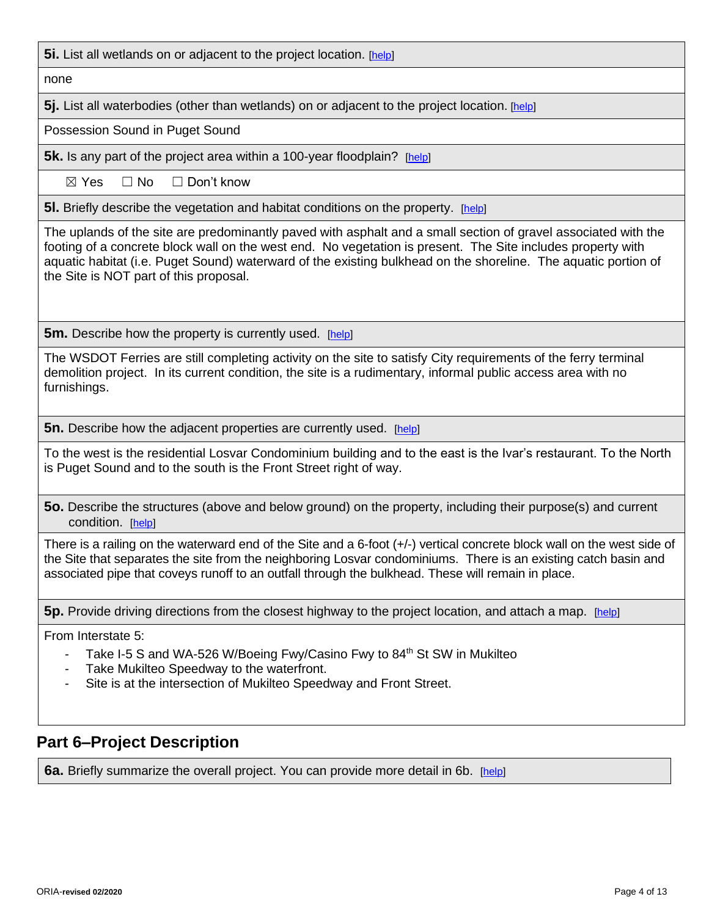**5i.** List all wetlands on or adjacent to the project location. [\[help\]](http://ptjguidance.epermitting.wa.gov/DesktopModules/help.aspx?project=0&node=799)

none

**5j.** List all waterbodies (other than wetlands) on or adjacent to the project location. [\[help\]](http://ptjguidance.epermitting.wa.gov/DesktopModules/help.aspx?project=0&node=800)

Possession Sound in Puget Sound

**5k.** Is any part of the project area within a 100-year floodplain? [\[help\]](http://ptjguidance.epermitting.wa.gov/DesktopModules/help.aspx?project=0&node=606)

 $\boxtimes$  Yes  $\Box$  No  $\Box$  Don't know

**5l.** Briefly describe the vegetation and habitat conditions on the property. [\[help\]](http://ptjguidance.epermitting.wa.gov/DesktopModules/help.aspx?project=0&node=607)

The uplands of the site are predominantly paved with asphalt and a small section of gravel associated with the footing of a concrete block wall on the west end. No vegetation is present. The Site includes property with aquatic habitat (i.e. Puget Sound) waterward of the existing bulkhead on the shoreline. The aquatic portion of the Site is NOT part of this proposal.

**5m.** Describe how the property is currently used. [\[help\]](http://ptjguidance.epermitting.wa.gov/DesktopModules/help.aspx?project=0&node=609)

The WSDOT Ferries are still completing activity on the site to satisfy City requirements of the ferry terminal demolition project. In its current condition, the site is a rudimentary, informal public access area with no furnishings.

**5n.** Describe how the adjacent properties are currently used. [\[help\]](http://ptjguidance.epermitting.wa.gov/DesktopModules/help.aspx?project=0&node=610)

To the west is the residential Losvar Condominium building and to the east is the Ivar's restaurant. To the North is Puget Sound and to the south is the Front Street right of way.

**5o.** Describe the structures (above and below ground) on the property, including their purpose(s) and current condition. [\[help\]](http://ptjguidance.epermitting.wa.gov/DesktopModules/help.aspx?project=0&node=611)

There is a railing on the waterward end of the Site and a 6-foot (+/-) vertical concrete block wall on the west side of the Site that separates the site from the neighboring Losvar condominiums. There is an existing catch basin and associated pipe that coveys runoff to an outfall through the bulkhead. These will remain in place.

**5p.** Provide driving directions from the closest highway to the project location, and attach a map. [\[help\]](http://ptjguidance.epermitting.wa.gov/DesktopModules/help.aspx?project=0&node=612)

From Interstate 5:

- Take I-5 S and WA-526 W/Boeing Fwy/Casino Fwy to 84<sup>th</sup> St SW in Mukilteo
- Take Mukilteo Speedway to the waterfront.
- Site is at the intersection of Mukilteo Speedway and Front Street.

### **Part 6–Project Description**

**6a.** Briefly summarize the overall project. You can provide more detail in 6b. [\[help\]](http://ptjguidance.epermitting.wa.gov/DesktopModules/help.aspx?project=0&node=614)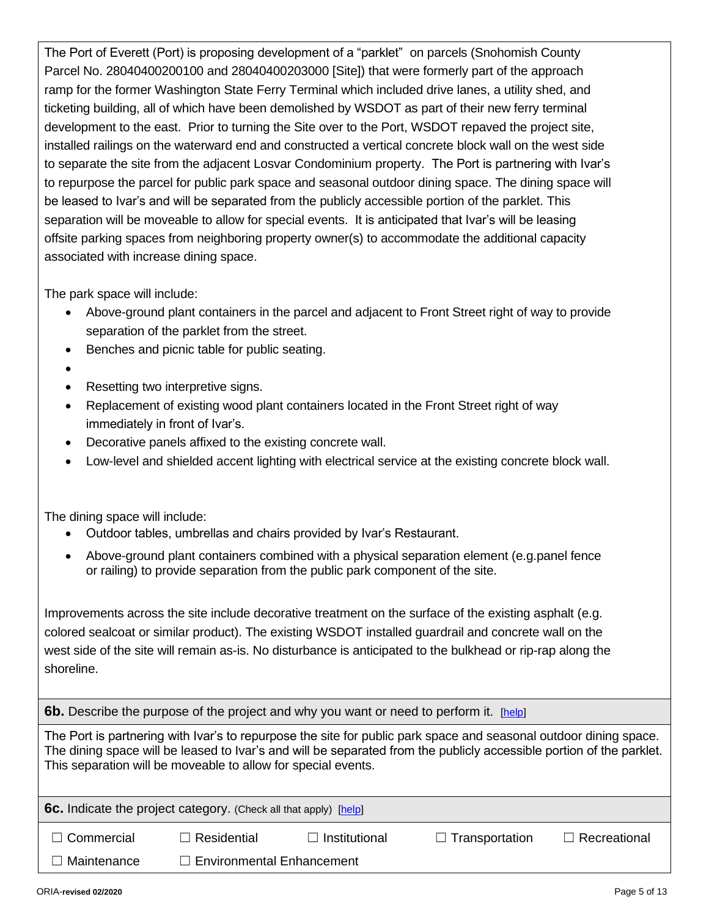The Port of Everett (Port) is proposing development of a "parklet" on parcels (Snohomish County Parcel No. 28040400200100 and 28040400203000 [Site]) that were formerly part of the approach ramp for the former Washington State Ferry Terminal which included drive lanes, a utility shed, and ticketing building, all of which have been demolished by WSDOT as part of their new ferry terminal development to the east. Prior to turning the Site over to the Port, WSDOT repaved the project site, installed railings on the waterward end and constructed a vertical concrete block wall on the west side to separate the site from the adjacent Losvar Condominium property. The Port is partnering with Ivar's to repurpose the parcel for public park space and seasonal outdoor dining space. The dining space will be leased to Ivar's and will be separated from the publicly accessible portion of the parklet. This separation will be moveable to allow for special events. It is anticipated that Ivar's will be leasing offsite parking spaces from neighboring property owner(s) to accommodate the additional capacity associated with increase dining space.

The park space will include:

- Above-ground plant containers in the parcel and adjacent to Front Street right of way to provide separation of the parklet from the street.
- Benches and picnic table for public seating.
- •
- Resetting two interpretive signs.
- Replacement of existing wood plant containers located in the Front Street right of way immediately in front of Ivar's.
- Decorative panels affixed to the existing concrete wall.
- Low-level and shielded accent lighting with electrical service at the existing concrete block wall.

The dining space will include:

- Outdoor tables, umbrellas and chairs provided by Ivar's Restaurant.
- Above-ground plant containers combined with a physical separation element (e.g.panel fence or railing) to provide separation from the public park component of the site.

Improvements across the site include decorative treatment on the surface of the existing asphalt (e.g. colored sealcoat or similar product). The existing WSDOT installed guardrail and concrete wall on the west side of the site will remain as-is. No disturbance is anticipated to the bulkhead or rip-rap along the shoreline.

**6b.** Describe the purpose of the project and why you want or need to perform it. [\[help\]](http://ptjguidance.epermitting.wa.gov/DesktopModules/help.aspx?project=0&node=619)

The Port is partnering with Ivar's to repurpose the site for public park space and seasonal outdoor dining space. The dining space will be leased to Ivar's and will be separated from the publicly accessible portion of the parklet. This separation will be moveable to allow for special events.

**6c.** Indicate the project category. (Check all that apply) [\[help\]](http://ptjguidance.epermitting.wa.gov/DesktopModules/help.aspx?project=0&node=615)

| $\Box$ Commercial  | $\Box$ Residential               | $\Box$ Institutional | $\Box$ Transportation | $\Box$ Recreational |
|--------------------|----------------------------------|----------------------|-----------------------|---------------------|
| $\Box$ Maintenance | $\Box$ Environmental Enhancement |                      |                       |                     |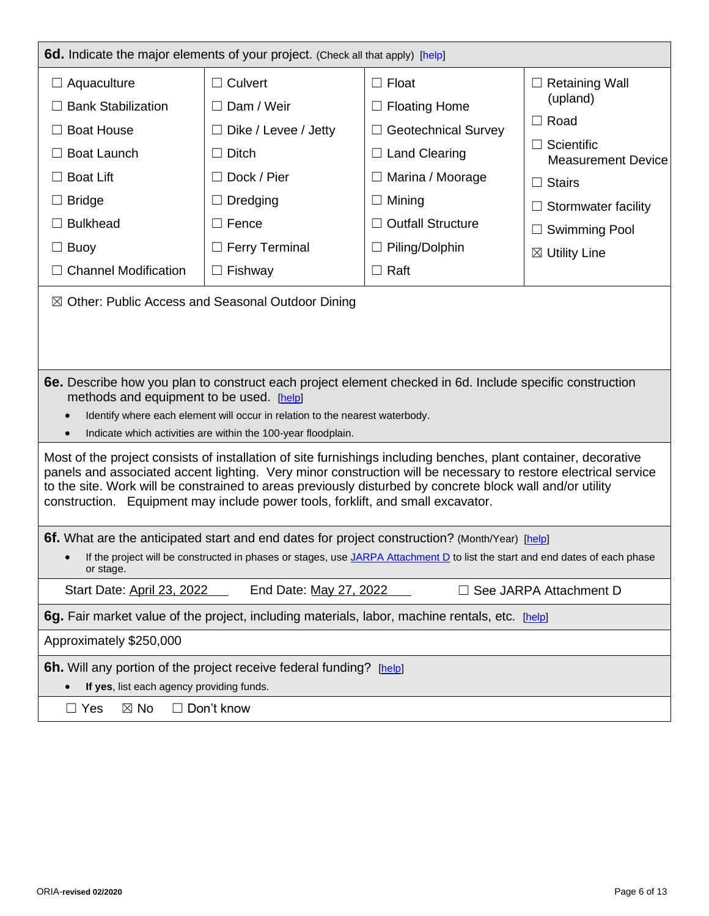| <b>6d.</b> Indicate the major elements of your project. (Check all that apply) [help]                                                                                                                                                                                                                                                                                                                                             |                                                                                                                                                                          |                                                                                                                                                                                              |                                                                                                                                                                                                       |  |  |
|-----------------------------------------------------------------------------------------------------------------------------------------------------------------------------------------------------------------------------------------------------------------------------------------------------------------------------------------------------------------------------------------------------------------------------------|--------------------------------------------------------------------------------------------------------------------------------------------------------------------------|----------------------------------------------------------------------------------------------------------------------------------------------------------------------------------------------|-------------------------------------------------------------------------------------------------------------------------------------------------------------------------------------------------------|--|--|
| $\Box$ Aquaculture<br><b>Bank Stabilization</b><br><b>Boat House</b><br><b>Boat Launch</b><br><b>Boat Lift</b><br><b>Bridge</b><br><b>Bulkhead</b><br><b>Buoy</b><br>ப<br><b>Channel Modification</b>                                                                                                                                                                                                                             | $\Box$ Culvert<br>$\Box$ Dam / Weir<br>$\Box$ Dike / Levee / Jetty<br>$\Box$ Ditch<br>Dock / Pier<br>Dredging<br>$\Box$ Fence<br>$\Box$ Ferry Terminal<br>$\Box$ Fishway | $\Box$ Float<br>$\Box$ Floating Home<br>$\Box$ Geotechnical Survey<br>$\Box$ Land Clearing<br>Marina / Moorage<br>$\Box$ Mining<br><b>Outfall Structure</b><br>Piling/Dolphin<br>$\Box$ Raft | $\Box$ Retaining Wall<br>(upland)<br>$\Box$ Road<br>$\Box$ Scientific<br><b>Measurement Device</b><br>$\Box$ Stairs<br>$\Box$ Stormwater facility<br>$\Box$ Swimming Pool<br>$\boxtimes$ Utility Line |  |  |
| ⊠ Other: Public Access and Seasonal Outdoor Dining                                                                                                                                                                                                                                                                                                                                                                                |                                                                                                                                                                          |                                                                                                                                                                                              |                                                                                                                                                                                                       |  |  |
| 6e. Describe how you plan to construct each project element checked in 6d. Include specific construction<br>methods and equipment to be used. [help]                                                                                                                                                                                                                                                                              | Identify where each element will occur in relation to the nearest waterbody.<br>Indicate which activities are within the 100-year floodplain.                            |                                                                                                                                                                                              |                                                                                                                                                                                                       |  |  |
| Most of the project consists of installation of site furnishings including benches, plant container, decorative<br>panels and associated accent lighting. Very minor construction will be necessary to restore electrical service<br>to the site. Work will be constrained to areas previously disturbed by concrete block wall and/or utility<br>construction. Equipment may include power tools, forklift, and small excavator. |                                                                                                                                                                          |                                                                                                                                                                                              |                                                                                                                                                                                                       |  |  |
| 6f. What are the anticipated start and end dates for project construction? (Month/Year) [help]<br>If the project will be constructed in phases or stages, use JARPA Attachment D to list the start and end dates of each phase<br>or stage.                                                                                                                                                                                       |                                                                                                                                                                          |                                                                                                                                                                                              |                                                                                                                                                                                                       |  |  |
| End Date: May 27, 2022<br>Start Date: April 23, 2022<br>$\Box$ See JARPA Attachment D                                                                                                                                                                                                                                                                                                                                             |                                                                                                                                                                          |                                                                                                                                                                                              |                                                                                                                                                                                                       |  |  |
| 6g. Fair market value of the project, including materials, labor, machine rentals, etc. [help]                                                                                                                                                                                                                                                                                                                                    |                                                                                                                                                                          |                                                                                                                                                                                              |                                                                                                                                                                                                       |  |  |
| Approximately \$250,000                                                                                                                                                                                                                                                                                                                                                                                                           |                                                                                                                                                                          |                                                                                                                                                                                              |                                                                                                                                                                                                       |  |  |
| <b>6h.</b> Will any portion of the project receive federal funding? [help]<br>If yes, list each agency providing funds.                                                                                                                                                                                                                                                                                                           |                                                                                                                                                                          |                                                                                                                                                                                              |                                                                                                                                                                                                       |  |  |
| $\boxtimes$ No<br>$\Box$ Yes                                                                                                                                                                                                                                                                                                                                                                                                      | $\Box$ Don't know                                                                                                                                                        |                                                                                                                                                                                              |                                                                                                                                                                                                       |  |  |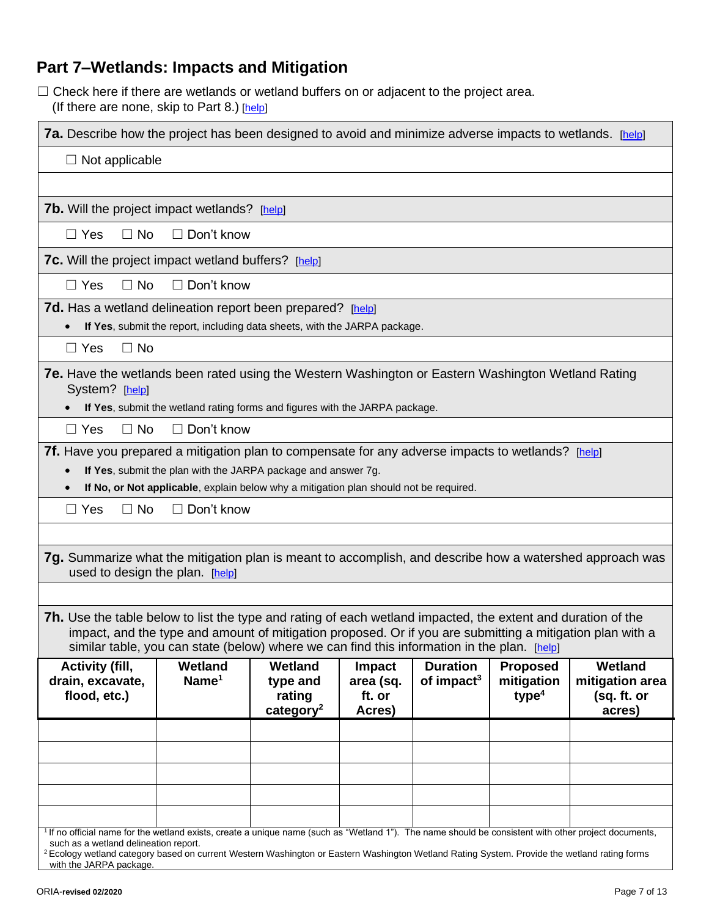# **Part 7–Wetlands: Impacts and Mitigation**

□ Check here if there are wetlands or wetland buffers on or adjacent to the project area. (If there are none, skip to Part 8.) [\[help\]](http://ptjguidance.epermitting.wa.gov/DesktopModules/help.aspx?project=0&node=623)

|                                                                                                                                                                                                                                                                                                                                 | <b>7a.</b> Describe how the project has been designed to avoid and minimize adverse impacts to wetlands. [help]                                        |                                                               |                                                |                                           |                                                    |                                                     |
|---------------------------------------------------------------------------------------------------------------------------------------------------------------------------------------------------------------------------------------------------------------------------------------------------------------------------------|--------------------------------------------------------------------------------------------------------------------------------------------------------|---------------------------------------------------------------|------------------------------------------------|-------------------------------------------|----------------------------------------------------|-----------------------------------------------------|
| $\Box$ Not applicable                                                                                                                                                                                                                                                                                                           |                                                                                                                                                        |                                                               |                                                |                                           |                                                    |                                                     |
|                                                                                                                                                                                                                                                                                                                                 |                                                                                                                                                        |                                                               |                                                |                                           |                                                    |                                                     |
| <b>7b.</b> Will the project impact wetlands? [help]                                                                                                                                                                                                                                                                             |                                                                                                                                                        |                                                               |                                                |                                           |                                                    |                                                     |
| $\Box$ No<br>$\Box$ Yes                                                                                                                                                                                                                                                                                                         | $\Box$ Don't know                                                                                                                                      |                                                               |                                                |                                           |                                                    |                                                     |
| <b>7c.</b> Will the project impact wetland buffers? [help]                                                                                                                                                                                                                                                                      |                                                                                                                                                        |                                                               |                                                |                                           |                                                    |                                                     |
| $\Box$ Yes<br>$\Box$ No                                                                                                                                                                                                                                                                                                         | $\Box$ Don't know                                                                                                                                      |                                                               |                                                |                                           |                                                    |                                                     |
| 7d. Has a wetland delineation report been prepared? [help]                                                                                                                                                                                                                                                                      | If Yes, submit the report, including data sheets, with the JARPA package.                                                                              |                                                               |                                                |                                           |                                                    |                                                     |
| $\Box$ No<br>$\Box$ Yes                                                                                                                                                                                                                                                                                                         |                                                                                                                                                        |                                                               |                                                |                                           |                                                    |                                                     |
| <b>7e.</b> Have the wetlands been rated using the Western Washington or Eastern Washington Wetland Rating<br>System? [help]                                                                                                                                                                                                     | If Yes, submit the wetland rating forms and figures with the JARPA package.                                                                            |                                                               |                                                |                                           |                                                    |                                                     |
| $\Box$ No<br>$\Box$ Yes                                                                                                                                                                                                                                                                                                         | $\Box$ Don't know                                                                                                                                      |                                                               |                                                |                                           |                                                    |                                                     |
| 7f. Have you prepared a mitigation plan to compensate for any adverse impacts to wetlands? [help]<br>$\bullet$                                                                                                                                                                                                                  | If Yes, submit the plan with the JARPA package and answer 7g.<br>If No, or Not applicable, explain below why a mitigation plan should not be required. |                                                               |                                                |                                           |                                                    |                                                     |
| $\Box$ No<br>$\Box$ Yes                                                                                                                                                                                                                                                                                                         | $\Box$ Don't know                                                                                                                                      |                                                               |                                                |                                           |                                                    |                                                     |
|                                                                                                                                                                                                                                                                                                                                 |                                                                                                                                                        |                                                               |                                                |                                           |                                                    |                                                     |
| 7g. Summarize what the mitigation plan is meant to accomplish, and describe how a watershed approach was<br>used to design the plan. [help]                                                                                                                                                                                     |                                                                                                                                                        |                                                               |                                                |                                           |                                                    |                                                     |
|                                                                                                                                                                                                                                                                                                                                 |                                                                                                                                                        |                                                               |                                                |                                           |                                                    |                                                     |
| <b>7h.</b> Use the table below to list the type and rating of each wetland impacted, the extent and duration of the<br>impact, and the type and amount of mitigation proposed. Or if you are submitting a mitigation plan with a<br>similar table, you can state (below) where we can find this information in the plan. [help] |                                                                                                                                                        |                                                               |                                                |                                           |                                                    |                                                     |
| <b>Activity (fill,</b><br>drain, excavate,<br>flood, etc.)                                                                                                                                                                                                                                                                      | Wetland<br>Name <sup>1</sup>                                                                                                                           | <b>Wetland</b><br>type and<br>rating<br>category <sup>2</sup> | <b>Impact</b><br>area (sq.<br>ft. or<br>Acres) | <b>Duration</b><br>of impact <sup>3</sup> | <b>Proposed</b><br>mitigation<br>type <sup>4</sup> | Wetland<br>mitigation area<br>(sq. ft. or<br>acres) |
|                                                                                                                                                                                                                                                                                                                                 |                                                                                                                                                        |                                                               |                                                |                                           |                                                    |                                                     |
|                                                                                                                                                                                                                                                                                                                                 |                                                                                                                                                        |                                                               |                                                |                                           |                                                    |                                                     |
|                                                                                                                                                                                                                                                                                                                                 |                                                                                                                                                        |                                                               |                                                |                                           |                                                    |                                                     |
|                                                                                                                                                                                                                                                                                                                                 |                                                                                                                                                        |                                                               |                                                |                                           |                                                    |                                                     |
| <sup>1</sup> If no official name for the wetland exists, create a unique name (such as "Wetland 1"). The name should be consistent with other project documents,<br>such as a wetland delineation report.                                                                                                                       |                                                                                                                                                        |                                                               |                                                |                                           |                                                    |                                                     |
| <sup>2</sup> Ecology wetland category based on current Western Washington or Eastern Washington Wetland Rating System. Provide the wetland rating forms<br>with the JARPA package.                                                                                                                                              |                                                                                                                                                        |                                                               |                                                |                                           |                                                    |                                                     |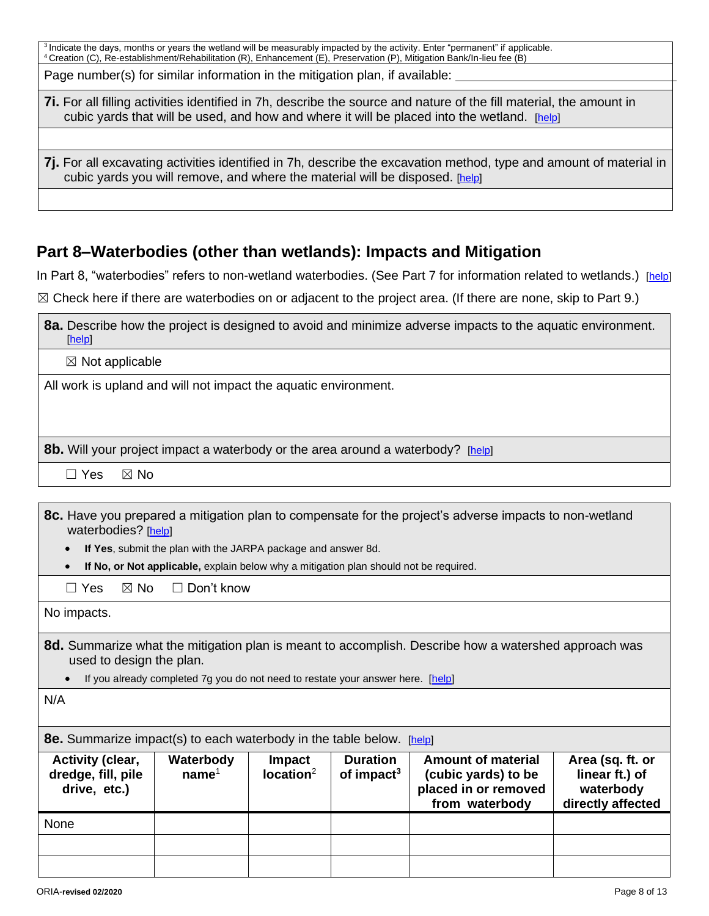<sup>3</sup> Indicate the days, months or years the wetland will be measurably impacted by the activity. Enter "permanent" if applicable. <sup>4</sup>Creation (C), Re-establishment/Rehabilitation (R), Enhancement (E), Preservation (P), Mitigation Bank/In-lieu fee (B)

Page number(s) for similar information in the mitigation plan, if available:

**7i.** For all filling activities identified in 7h, describe the source and nature of the fill material, the amount in cubic yards that will be used, and how and where it will be placed into the wetland. [\[help\]](http://ptjguidance.epermitting.wa.gov/DesktopModules/help.aspx?project=0&node=792)

**7j.** For all excavating activities identified in 7h, describe the excavation method, type and amount of material in cubic yards you will remove, and where the material will be disposed. [\[help\]](http://ptjguidance.epermitting.wa.gov/DesktopModules/help.aspx?project=0&node=793)

### **Part 8–Waterbodies (other than wetlands): Impacts and Mitigation**

In Part 8, "waterbodies" refers to non-wetland waterbodies. (See Part 7 for information related to wetlands.) [\[help\]](http://ptjguidance.epermitting.wa.gov/DesktopModules/help.aspx?project=0&node=744)

☒ Check here if there are waterbodies on or adjacent to the project area. (If there are none, skip to Part 9.)

| 8a. Describe how the project is designed to avoid and minimize adverse impacts to the aquatic environment.<br>[help] |
|----------------------------------------------------------------------------------------------------------------------|
| $\boxtimes$ Not applicable                                                                                           |
| All work is upland and will not impact the aquatic environment.                                                      |
|                                                                                                                      |
|                                                                                                                      |
| <b>8b.</b> Will your project impact a waterbody or the area around a waterbody? [help]                               |
| $\boxtimes$ No<br>∃ Yes                                                                                              |

**8c.** Have you prepared a mitigation plan to compensate for the project's adverse impacts to non-wetland waterbodies? [\[help\]](http://ptjguidance.epermitting.wa.gov/DesktopModules/help.aspx?project=0&node=749)

- **If Yes**, submit the plan with the JARPA package and answer 8d.
- **If No, or Not applicable,** explain below why a mitigation plan should not be required.
- $\Box$  Yes  $\boxtimes$  No  $\Box$  Don't know

No impacts.

- **8d.** Summarize what the mitigation plan is meant to accomplish. Describe how a watershed approach was used to design the plan.
	- If you already completed 7g you do not need to restate your answer here. [\[help\]](http://ptjguidance.epermitting.wa.gov/DesktopModules/help.aspx?project=0&node=750)

N/A

**8e.** Summarize impact(s) to each waterbody in the table below. [\[help\]](http://ptjguidance.epermitting.wa.gov/DesktopModules/help.aspx?project=0&node=748)

| <b>Activity (clear,</b><br>dredge, fill, pile<br>drive, etc.) | Waterbody<br>name <sup>1</sup> | <b>Impact</b><br>location <sup>2</sup> | <b>Duration</b><br>of impact <sup>3</sup> | <b>Amount of material</b><br>(cubic yards) to be<br>placed in or removed<br>from waterbody | Area (sq. ft. or<br>linear ft.) of<br>waterbody<br>directly affected |
|---------------------------------------------------------------|--------------------------------|----------------------------------------|-------------------------------------------|--------------------------------------------------------------------------------------------|----------------------------------------------------------------------|
| None                                                          |                                |                                        |                                           |                                                                                            |                                                                      |
|                                                               |                                |                                        |                                           |                                                                                            |                                                                      |
|                                                               |                                |                                        |                                           |                                                                                            |                                                                      |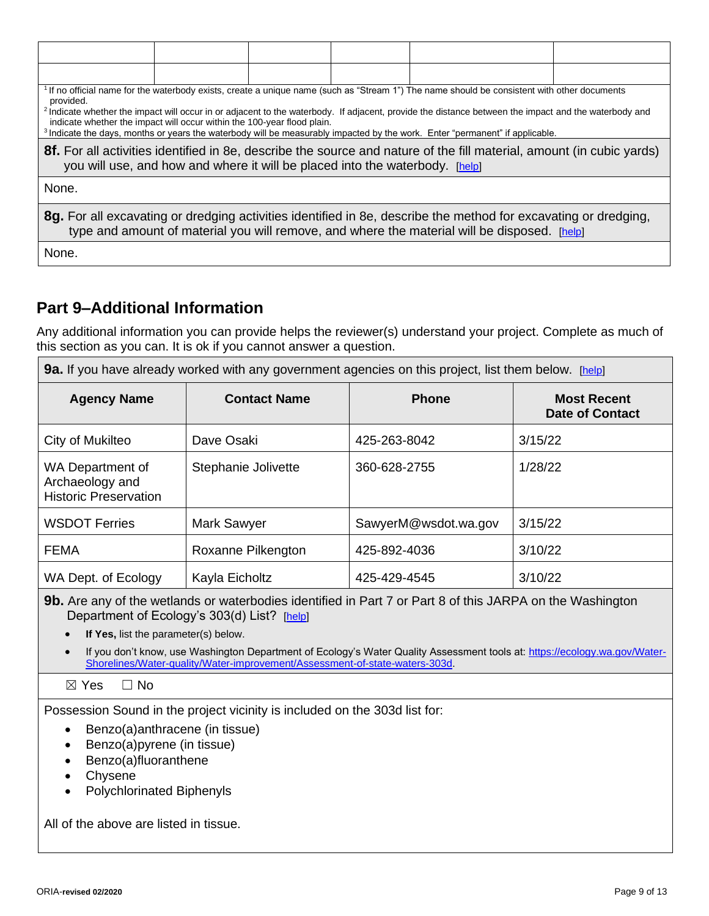| provided.                                                                                                                                                                                                       |  |  |  | <sup>1</sup> If no official name for the waterbody exists, create a unique name (such as "Stream 1") The name should be consistent with other documents                                                                                                                                                    |  |  |  |
|-----------------------------------------------------------------------------------------------------------------------------------------------------------------------------------------------------------------|--|--|--|------------------------------------------------------------------------------------------------------------------------------------------------------------------------------------------------------------------------------------------------------------------------------------------------------------|--|--|--|
| indicate whether the impact will occur within the 100-year flood plain.                                                                                                                                         |  |  |  | <sup>2</sup> Indicate whether the impact will occur in or adjacent to the waterbody. If adjacent, provide the distance between the impact and the waterbody and<br><sup>3</sup> Indicate the days, months or years the waterbody will be measurably impacted by the work. Enter "permanent" if applicable. |  |  |  |
| 8f. For all activities identified in 8e, describe the source and nature of the fill material, amount (in cubic yards)<br>you will use, and how and where it will be placed into the waterbody. [help]           |  |  |  |                                                                                                                                                                                                                                                                                                            |  |  |  |
| None.                                                                                                                                                                                                           |  |  |  |                                                                                                                                                                                                                                                                                                            |  |  |  |
| 8g. For all excavating or dredging activities identified in 8e, describe the method for excavating or dredging,<br>type and amount of material you will remove, and where the material will be disposed. [help] |  |  |  |                                                                                                                                                                                                                                                                                                            |  |  |  |
| None.                                                                                                                                                                                                           |  |  |  |                                                                                                                                                                                                                                                                                                            |  |  |  |

### **Part 9–Additional Information**

Any additional information you can provide helps the reviewer(s) understand your project. Complete as much of this section as you can. It is ok if you cannot answer a question.

**9a.** If you have already worked with any government agencies on this project, list them below. [\[help\]](http://ptjguidance.epermitting.wa.gov/DesktopModules/help.aspx?project=0&node=757)

| <b>98.</b> If you have already worked with any government agencies on this project, list them below. Theip |                     |                      |                                              |  |  |
|------------------------------------------------------------------------------------------------------------|---------------------|----------------------|----------------------------------------------|--|--|
| <b>Agency Name</b>                                                                                         | <b>Contact Name</b> | <b>Phone</b>         | <b>Most Recent</b><br><b>Date of Contact</b> |  |  |
| City of Mukilteo                                                                                           | Dave Osaki          | 425-263-8042         | 3/15/22                                      |  |  |
| WA Department of<br>Archaeology and<br><b>Historic Preservation</b>                                        | Stephanie Jolivette | 360-628-2755         | 1/28/22                                      |  |  |
| <b>WSDOT Ferries</b>                                                                                       | Mark Sawyer         | SawyerM@wsdot.wa.gov | 3/15/22                                      |  |  |
| <b>FEMA</b>                                                                                                | Roxanne Pilkengton  | 425-892-4036         | 3/10/22                                      |  |  |
| WA Dept. of Ecology                                                                                        | Kayla Eicholtz      | 425-429-4545         | 3/10/22                                      |  |  |

**9b.** Are any of the wetlands or waterbodies identified in Part 7 or Part 8 of this JARPA on the Washington Department of Ecology's 303(d) List? [\[help\]](http://ptjguidance.epermitting.wa.gov/DesktopModules/help.aspx?project=0&node=758)

• **If Yes,** list the parameter(s) below.

• If you don't know, use Washington Department of Ecology's Water Quality Assessment tools at[: https://ecology.wa.gov/Water-](https://ecology.wa.gov/Water-Shorelines/Water-quality/Water-improvement/Assessment-of-state-waters-303d)[Shorelines/Water-quality/Water-improvement/Assessment-of-state-waters-303d.](https://ecology.wa.gov/Water-Shorelines/Water-quality/Water-improvement/Assessment-of-state-waters-303d)

☒ Yes ☐ No

Possession Sound in the project vicinity is included on the 303d list for:

- Benzo(a)anthracene (in tissue)
- Benzo(a)pyrene (in tissue)
- Benzo(a)fluoranthene
- Chysene
- Polychlorinated Biphenyls

All of the above are listed in tissue.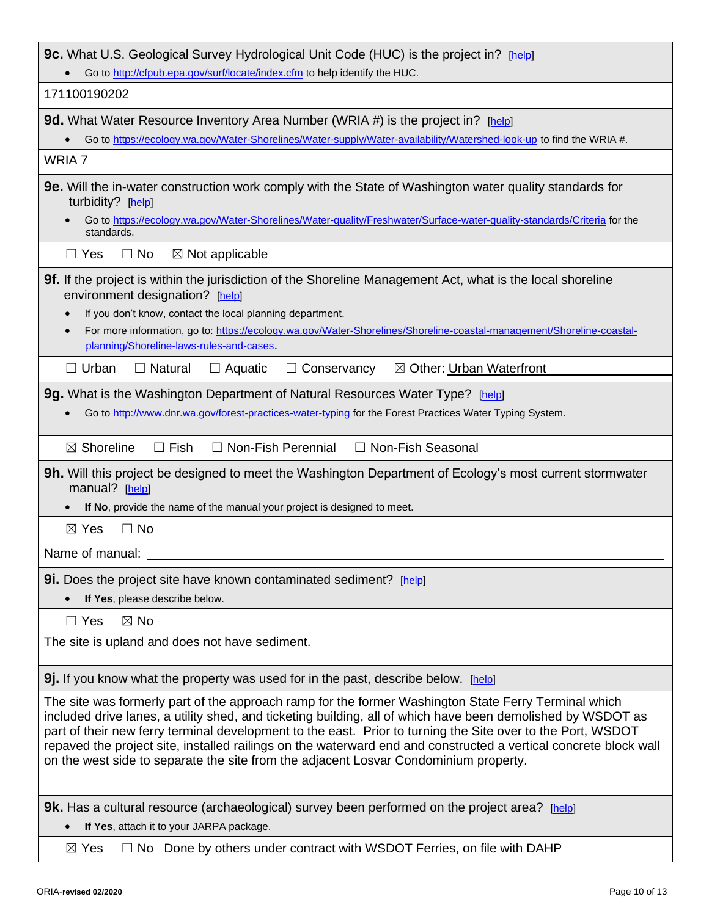| <b>9c.</b> What U.S. Geological Survey Hydrological Unit Code (HUC) is the project in? [help]                                                                                                                                                                                                                                                                                                                                                                                                                                                  |  |  |  |
|------------------------------------------------------------------------------------------------------------------------------------------------------------------------------------------------------------------------------------------------------------------------------------------------------------------------------------------------------------------------------------------------------------------------------------------------------------------------------------------------------------------------------------------------|--|--|--|
| Go to http://cfpub.epa.gov/surf/locate/index.cfm to help identify the HUC.                                                                                                                                                                                                                                                                                                                                                                                                                                                                     |  |  |  |
| 171100190202                                                                                                                                                                                                                                                                                                                                                                                                                                                                                                                                   |  |  |  |
| <b>9d.</b> What Water Resource Inventory Area Number (WRIA #) is the project in? [help]                                                                                                                                                                                                                                                                                                                                                                                                                                                        |  |  |  |
| Go to https://ecology.wa.gov/Water-Shorelines/Water-supply/Water-availability/Watershed-look-up to find the WRIA #.                                                                                                                                                                                                                                                                                                                                                                                                                            |  |  |  |
| WRIA 7                                                                                                                                                                                                                                                                                                                                                                                                                                                                                                                                         |  |  |  |
| <b>9e.</b> Will the in-water construction work comply with the State of Washington water quality standards for<br>turbidity? [help]                                                                                                                                                                                                                                                                                                                                                                                                            |  |  |  |
| Go to https://ecology.wa.gov/Water-Shorelines/Water-quality/Freshwater/Surface-water-quality-standards/Criteria for the<br>standards.                                                                                                                                                                                                                                                                                                                                                                                                          |  |  |  |
| $\Box$ Yes<br>$\Box$ No<br>$\boxtimes$ Not applicable                                                                                                                                                                                                                                                                                                                                                                                                                                                                                          |  |  |  |
| <b>9f.</b> If the project is within the jurisdiction of the Shoreline Management Act, what is the local shoreline<br>environment designation? [help]<br>If you don't know, contact the local planning department.<br>$\bullet$<br>For more information, go to: https://ecology.wa.gov/Water-Shorelines/Shoreline-coastal-management/Shoreline-coastal-<br>$\bullet$<br>planning/Shoreline-laws-rules-and-cases.                                                                                                                                |  |  |  |
| $\Box$ Urban<br>$\Box$ Natural<br>$\Box$ Aquatic<br>$\Box$ Conservancy<br>⊠ Other: Urban Waterfront                                                                                                                                                                                                                                                                                                                                                                                                                                            |  |  |  |
| 9g. What is the Washington Department of Natural Resources Water Type? [help]<br>Go to http://www.dnr.wa.gov/forest-practices-water-typing for the Forest Practices Water Typing System.                                                                                                                                                                                                                                                                                                                                                       |  |  |  |
| $\Box$ Non-Fish Perennial<br>$\boxtimes$ Shoreline<br>$\Box$ Fish<br>□ Non-Fish Seasonal                                                                                                                                                                                                                                                                                                                                                                                                                                                       |  |  |  |
| <b>9h.</b> Will this project be designed to meet the Washington Department of Ecology's most current stormwater<br>manual? [help]<br>If No, provide the name of the manual your project is designed to meet.                                                                                                                                                                                                                                                                                                                                   |  |  |  |
| $\boxtimes$ Yes<br>$\Box$ No                                                                                                                                                                                                                                                                                                                                                                                                                                                                                                                   |  |  |  |
| Name of manual:                                                                                                                                                                                                                                                                                                                                                                                                                                                                                                                                |  |  |  |
| <b>9i.</b> Does the project site have known contaminated sediment? [help]<br>If Yes, please describe below.                                                                                                                                                                                                                                                                                                                                                                                                                                    |  |  |  |
| $\boxtimes$ No<br>$\Box$ Yes                                                                                                                                                                                                                                                                                                                                                                                                                                                                                                                   |  |  |  |
| The site is upland and does not have sediment.                                                                                                                                                                                                                                                                                                                                                                                                                                                                                                 |  |  |  |
| 9. If you know what the property was used for in the past, describe below. [help]                                                                                                                                                                                                                                                                                                                                                                                                                                                              |  |  |  |
| The site was formerly part of the approach ramp for the former Washington State Ferry Terminal which<br>included drive lanes, a utility shed, and ticketing building, all of which have been demolished by WSDOT as<br>part of their new ferry terminal development to the east. Prior to turning the Site over to the Port, WSDOT<br>repaved the project site, installed railings on the waterward end and constructed a vertical concrete block wall<br>on the west side to separate the site from the adjacent Losvar Condominium property. |  |  |  |
| 9k. Has a cultural resource (archaeological) survey been performed on the project area? [help]<br>If Yes, attach it to your JARPA package.                                                                                                                                                                                                                                                                                                                                                                                                     |  |  |  |
| $\Box$ No Done by others under contract with WSDOT Ferries, on file with DAHP<br>$\boxtimes$ Yes                                                                                                                                                                                                                                                                                                                                                                                                                                               |  |  |  |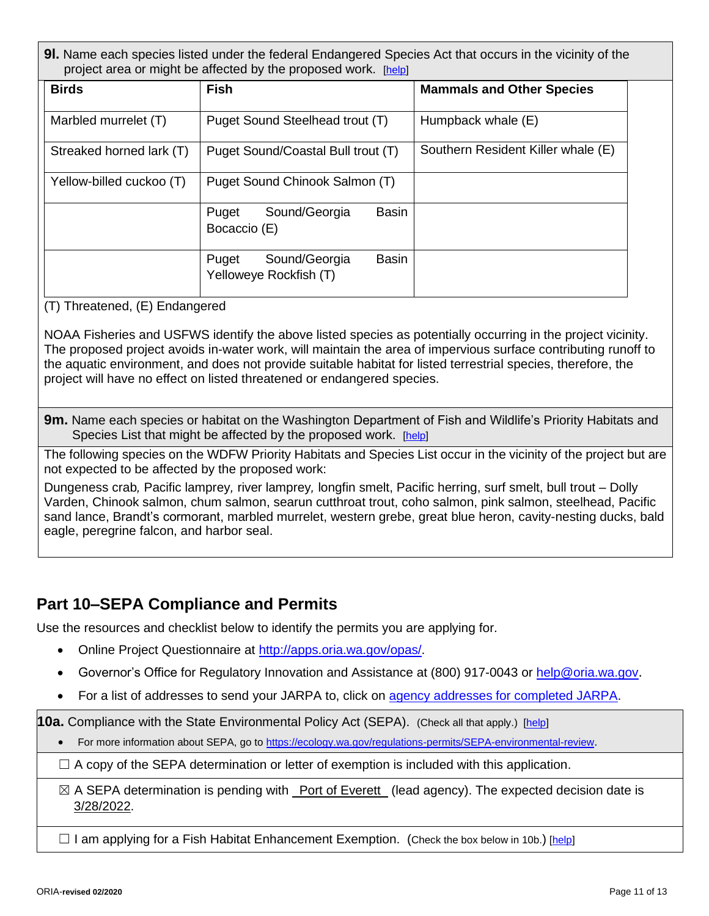**9l.** Name each species listed under the federal Endangered Species Act that occurs in the vicinity of the project area or might be affected by the proposed work. [\[help\]](http://ptjguidance.epermitting.wa.gov/DesktopModules/help.aspx?project=0&node=767)

| <b>Birds</b>             | <b>Fish</b>                                                      | <b>Mammals and Other Species</b>   |
|--------------------------|------------------------------------------------------------------|------------------------------------|
| Marbled murrelet (T)     | Puget Sound Steelhead trout (T)                                  | Humpback whale (E)                 |
| Streaked horned lark (T) | Puget Sound/Coastal Bull trout (T)                               | Southern Resident Killer whale (E) |
| Yellow-billed cuckoo (T) | Puget Sound Chinook Salmon (T)                                   |                                    |
|                          | Sound/Georgia<br><b>Basin</b><br>Puget<br>Bocaccio (E)           |                                    |
|                          | <b>Basin</b><br>Sound/Georgia<br>Puget<br>Yelloweye Rockfish (T) |                                    |

(T) Threatened, (E) Endangered

NOAA Fisheries and USFWS identify the above listed species as potentially occurring in the project vicinity. The proposed project avoids in-water work, will maintain the area of impervious surface contributing runoff to the aquatic environment, and does not provide suitable habitat for listed terrestrial species, therefore, the project will have no effect on listed threatened or endangered species.

**9m.** Name each species or habitat on the Washington Department of Fish and Wildlife's Priority Habitats and Species List that might be affected by the proposed work. [\[help\]](http://ptjguidance.epermitting.wa.gov/DesktopModules/help.aspx?project=0&node=768)

The following species on the WDFW Priority Habitats and Species List occur in the vicinity of the project but are not expected to be affected by the proposed work:

Dungeness crab*,* Pacific lamprey*,* river lamprey*,* longfin smelt, Pacific herring, surf smelt, bull trout – Dolly Varden, Chinook salmon, chum salmon, searun cutthroat trout, coho salmon, pink salmon, steelhead, Pacific sand lance, Brandt's cormorant, marbled murrelet, western grebe, great blue heron, cavity-nesting ducks, bald eagle, peregrine falcon, and harbor seal.

### **Part 10–SEPA Compliance and Permits**

Use the resources and checklist below to identify the permits you are applying for.

- Online Project Questionnaire at [http://apps.oria.wa.gov/opas/.](http://apps.oria.wa.gov/opas/)
- Governor's Office for Regulatory Innovation and Assistance at (800) 917-0043 or [help@oria.wa.gov](mailto:help@oria.wa.gov).
- For a list of addresses to send your JARPA to, click on [agency addresses for completed JARPA.](http://www.epermitting.wa.gov/site/alias__resourcecenter/jarpa_jarpa_contacts/2489/jarpa_contacts.aspx)

**10a.** Compliance with the State Environmental Policy Act (SEPA). (Check all that apply.) [\[help\]](http://ptjguidance.epermitting.wa.gov/DesktopModules/help.aspx?project=0&node=770)

• For more information about SEPA, go t[o https://ecology.wa.gov/regulations-permits/SEPA-environmental-review](https://ecology.wa.gov/regulations-permits/SEPA-environmental-review).

 $\Box$  A copy of the SEPA determination or letter of exemption is included with this application.

 $\boxtimes$  A SEPA determination is pending with Port of Everett (lead agency). The expected decision date is 3/28/2022.

 $\Box$  I am applying for a Fish Habitat Enhancement Exemption. (Check the box below in 10b.) [\[help\]](http://ptjguidance.epermitting.wa.gov/DesktopModules/help.aspx?project=0&node=796)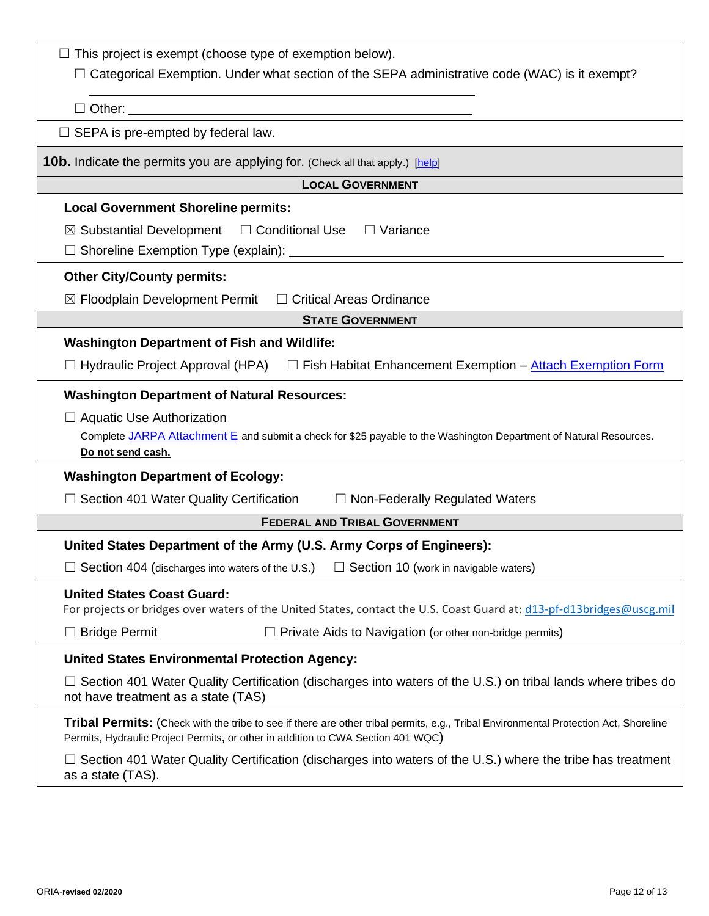| $\Box$ This project is exempt (choose type of exemption below).                                                                                                                                                          |  |  |
|--------------------------------------------------------------------------------------------------------------------------------------------------------------------------------------------------------------------------|--|--|
| $\Box$ Categorical Exemption. Under what section of the SEPA administrative code (WAC) is it exempt?                                                                                                                     |  |  |
|                                                                                                                                                                                                                          |  |  |
| $\Box$ SEPA is pre-empted by federal law.                                                                                                                                                                                |  |  |
| <b>10b.</b> Indicate the permits you are applying for. (Check all that apply.) [help]                                                                                                                                    |  |  |
| <b>LOCAL GOVERNMENT</b>                                                                                                                                                                                                  |  |  |
| <b>Local Government Shoreline permits:</b>                                                                                                                                                                               |  |  |
| $\boxtimes$ Substantial Development $\Box$ Conditional Use $\Box$ Variance                                                                                                                                               |  |  |
|                                                                                                                                                                                                                          |  |  |
| <b>Other City/County permits:</b>                                                                                                                                                                                        |  |  |
| $\boxtimes$ Floodplain Development Permit $\Box$ Critical Areas Ordinance                                                                                                                                                |  |  |
| <b>STATE GOVERNMENT</b>                                                                                                                                                                                                  |  |  |
| <b>Washington Department of Fish and Wildlife:</b>                                                                                                                                                                       |  |  |
| □ Hydraulic Project Approval (HPA) □ Fish Habitat Enhancement Exemption – Attach Exemption Form                                                                                                                          |  |  |
| <b>Washington Department of Natural Resources:</b>                                                                                                                                                                       |  |  |
| $\Box$ Aquatic Use Authorization                                                                                                                                                                                         |  |  |
| Complete JARPA Attachment E and submit a check for \$25 payable to the Washington Department of Natural Resources.<br>Do not send cash.                                                                                  |  |  |
| <b>Washington Department of Ecology:</b>                                                                                                                                                                                 |  |  |
| $\Box$ Section 401 Water Quality Certification<br>$\Box$ Non-Federally Regulated Waters                                                                                                                                  |  |  |
| <b>FEDERAL AND TRIBAL GOVERNMENT</b>                                                                                                                                                                                     |  |  |
| United States Department of the Army (U.S. Army Corps of Engineers):                                                                                                                                                     |  |  |
| $\Box$ Section 404 (discharges into waters of the U.S.)<br>$\Box$ Section 10 (work in navigable waters)                                                                                                                  |  |  |
| <b>United States Coast Guard:</b><br>For projects or bridges over waters of the United States, contact the U.S. Coast Guard at: d13-pf-d13bridges@uscg.mil                                                               |  |  |
| <b>Bridge Permit</b><br>$\Box$ Private Aids to Navigation (or other non-bridge permits)                                                                                                                                  |  |  |
| <b>United States Environmental Protection Agency:</b>                                                                                                                                                                    |  |  |
| $\Box$ Section 401 Water Quality Certification (discharges into waters of the U.S.) on tribal lands where tribes do<br>not have treatment as a state (TAS)                                                               |  |  |
| Tribal Permits: (Check with the tribe to see if there are other tribal permits, e.g., Tribal Environmental Protection Act, Shoreline<br>Permits, Hydraulic Project Permits, or other in addition to CWA Section 401 WQC) |  |  |
| Section 401 Water Quality Certification (discharges into waters of the U.S.) where the tribe has treatment<br>as a state (TAS).                                                                                          |  |  |